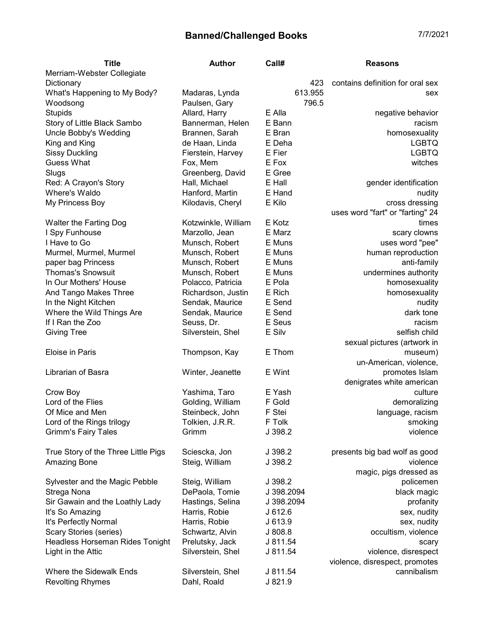| <b>Title</b>                        | <b>Author</b>       | Call#      | <b>Reasons</b>                   |
|-------------------------------------|---------------------|------------|----------------------------------|
| Merriam-Webster Collegiate          |                     |            |                                  |
| Dictionary                          |                     | 423        | contains definition for oral sex |
| What's Happening to My Body?        | Madaras, Lynda      | 613.955    | sex                              |
| Woodsong                            | Paulsen, Gary       | 796.5      |                                  |
| <b>Stupids</b>                      | Allard, Harry       | E Alla     | negative behavior                |
| Story of Little Black Sambo         | Bannerman, Helen    | E Bann     | racism                           |
| Uncle Bobby's Wedding               | Brannen, Sarah      | E Bran     | homosexuality                    |
| King and King                       | de Haan, Linda      | E Deha     | <b>LGBTQ</b>                     |
| <b>Sissy Duckling</b>               | Fierstein, Harvey   | E Fier     | <b>LGBTQ</b>                     |
| <b>Guess What</b>                   | Fox, Mem            | E Fox      | witches                          |
| Slugs                               | Greenberg, David    | E Gree     |                                  |
| Red: A Crayon's Story               | Hall, Michael       | E Hall     | gender identification            |
| Where's Waldo                       | Hanford, Martin     | E Hand     | nudity                           |
| My Princess Boy                     | Kilodavis, Cheryl   | E Kilo     | cross dressing                   |
|                                     |                     |            | uses word "fart" or "farting" 24 |
| Walter the Farting Dog              | Kotzwinkle, William | E Kotz     | times                            |
| I Spy Funhouse                      | Marzollo, Jean      | E Marz     | scary clowns                     |
| I Have to Go                        | Munsch, Robert      | E Muns     | uses word "pee"                  |
| Murmel, Murmel, Murmel              | Munsch, Robert      | E Muns     | human reproduction               |
| paper bag Princess                  | Munsch, Robert      | E Muns     | anti-family                      |
| <b>Thomas's Snowsuit</b>            | Munsch, Robert      | E Muns     | undermines authority             |
| In Our Mothers' House               | Polacco, Patricia   | E Pola     | homosexuality                    |
| And Tango Makes Three               | Richardson, Justin  | E Rich     | homosexuality                    |
| In the Night Kitchen                | Sendak, Maurice     | E Send     | nudity                           |
| Where the Wild Things Are           | Sendak, Maurice     | E Send     | dark tone                        |
| If I Ran the Zoo                    | Seuss, Dr.          | E Seus     | racism                           |
| <b>Giving Tree</b>                  | Silverstein, Shel   | E Silv     | selfish child                    |
|                                     |                     |            | sexual pictures (artwork in      |
| Eloise in Paris                     | Thompson, Kay       | E Thom     | museum)                          |
|                                     |                     |            | un-American, violence,           |
| Librarian of Basra                  | Winter, Jeanette    | E Wint     | promotes Islam                   |
|                                     |                     |            | denigrates white american        |
| Crow Boy                            | Yashima, Taro       | E Yash     | culture                          |
| Lord of the Flies                   | Golding, William    | F Gold     | demoralizing                     |
| Of Mice and Men                     | Steinbeck, John     | F Stei     | language, racism                 |
| Lord of the Rings trilogy           | Tolkien, J.R.R.     | F Tolk     | smoking                          |
| <b>Grimm's Fairy Tales</b>          | Grimm               | J 398.2    | violence                         |
|                                     |                     |            |                                  |
| True Story of the Three Little Pigs | Sciescka, Jon       | J 398.2    | presents big bad wolf as good    |
| Amazing Bone                        | Steig, William      | J 398.2    | violence                         |
|                                     |                     |            | magic, pigs dressed as           |
| Sylvester and the Magic Pebble      | Steig, William      | J 398.2    | policemen                        |
| Strega Nona                         | DePaola, Tomie      | J 398.2094 | black magic                      |
| Sir Gawain and the Loathly Lady     | Hastings, Selina    | J 398.2094 | profanity                        |
| It's So Amazing                     | Harris, Robie       | J612.6     | sex, nudity                      |
| It's Perfectly Normal               | Harris, Robie       | J 613.9    | sex, nudity                      |
| Scary Stories (series)              | Schwartz, Alvin     | J 808.8    | occultism, violence              |
| Headless Horseman Rides Tonight     | Prelutsky, Jack     | J 811.54   | scary                            |
| Light in the Attic                  | Silverstein, Shel   | J 811.54   | violence, disrespect             |
|                                     |                     |            | violence, disrespect, promotes   |
| Where the Sidewalk Ends             | Silverstein, Shel   | J 811.54   | cannibalism                      |
| <b>Revolting Rhymes</b>             | Dahl, Roald         | J 821.9    |                                  |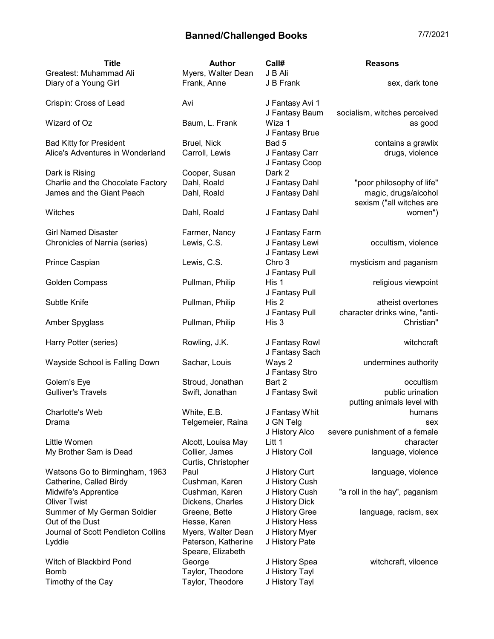| <b>Title</b>                       | <b>Author</b>                            | Call#                             | <b>Reasons</b>                                   |
|------------------------------------|------------------------------------------|-----------------------------------|--------------------------------------------------|
| Greatest: Muhammad Ali             | Myers, Walter Dean                       | J B Ali                           |                                                  |
| Diary of a Young Girl              | Frank, Anne                              | J B Frank                         | sex, dark tone                                   |
| Crispin: Cross of Lead             | Avi                                      | J Fantasy Avi 1<br>J Fantasy Baum | socialism, witches perceived                     |
| Wizard of Oz                       | Baum, L. Frank                           | Wiza 1<br>J Fantasy Brue          | as good                                          |
| <b>Bad Kitty for President</b>     | Bruel, Nick                              | Bad 5                             | contains a grawlix                               |
| Alice's Adventures in Wonderland   | Carroll, Lewis                           | J Fantasy Carr<br>J Fantasy Coop  | drugs, violence                                  |
| Dark is Rising                     | Cooper, Susan                            | Dark 2                            |                                                  |
| Charlie and the Chocolate Factory  | Dahl, Roald                              | J Fantasy Dahl                    | "poor philosophy of life"                        |
| James and the Giant Peach          | Dahl, Roald                              | J Fantasy Dahl                    | magic, drugs/alcohol<br>sexism ("all witches are |
| Witches                            | Dahl, Roald                              | J Fantasy Dahl                    | women")                                          |
| <b>Girl Named Disaster</b>         | Farmer, Nancy                            | J Fantasy Farm                    |                                                  |
| Chronicles of Narnia (series)      | Lewis, C.S.                              | J Fantasy Lewi                    | occultism, violence                              |
|                                    |                                          | J Fantasy Lewi                    |                                                  |
| Prince Caspian                     | Lewis, C.S.                              | Chro 3                            | mysticism and paganism                           |
|                                    |                                          | J Fantasy Pull                    |                                                  |
| <b>Golden Compass</b>              | Pullman, Philip                          | His 1                             | religious viewpoint                              |
|                                    |                                          | J Fantasy Pull                    |                                                  |
| Subtle Knife                       | Pullman, Philip                          | His 2                             | atheist overtones                                |
|                                    |                                          | J Fantasy Pull                    | character drinks wine, "anti-                    |
| Amber Spyglass                     | Pullman, Philip                          | His 3                             | Christian"                                       |
| Harry Potter (series)              | Rowling, J.K.                            | J Fantasy Rowl                    | witchcraft                                       |
|                                    |                                          | J Fantasy Sach                    |                                                  |
| Wayside School is Falling Down     | Sachar, Louis                            | Ways 2<br>J Fantasy Stro          | undermines authority                             |
| Golem's Eye                        | Stroud, Jonathan                         | Bart 2                            | occultism                                        |
| <b>Gulliver's Travels</b>          | Swift, Jonathan                          | J Fantasy Swit                    | public urination                                 |
|                                    |                                          |                                   | putting animals level with                       |
| Charlotte's Web                    | White, E.B.                              | J Fantasy Whit                    | humans                                           |
| Drama                              | Telgemeier, Raina                        | J GN Telg                         | sex                                              |
|                                    |                                          | J History Alco                    | severe punishment of a female                    |
| Little Women                       | Alcott, Louisa May                       | Litt 1                            | character                                        |
| My Brother Sam is Dead             | Collier, James<br>Curtis, Christopher    | J History Coll                    | language, violence                               |
| Watsons Go to Birmingham, 1963     | Paul                                     | J History Curt                    | language, violence                               |
| Catherine, Called Birdy            | Cushman, Karen                           | J History Cush                    |                                                  |
| Midwife's Apprentice               | Cushman, Karen                           | J History Cush                    | "a roll in the hay", paganism                    |
| <b>Oliver Twist</b>                | Dickens, Charles                         | J History Dick                    |                                                  |
| Summer of My German Soldier        | Greene, Bette                            | J History Gree                    | language, racism, sex                            |
| Out of the Dust                    | Hesse, Karen                             | J History Hess                    |                                                  |
| Journal of Scott Pendleton Collins | Myers, Walter Dean                       | J History Myer                    |                                                  |
| Lyddie                             | Paterson, Katherine<br>Speare, Elizabeth | J History Pate                    |                                                  |
| Witch of Blackbird Pond            | George                                   | J History Spea                    | witchcraft, viloence                             |
| <b>Bomb</b>                        | Taylor, Theodore                         | J History Tayl                    |                                                  |
| Timothy of the Cay                 | Taylor, Theodore                         | J History Tayl                    |                                                  |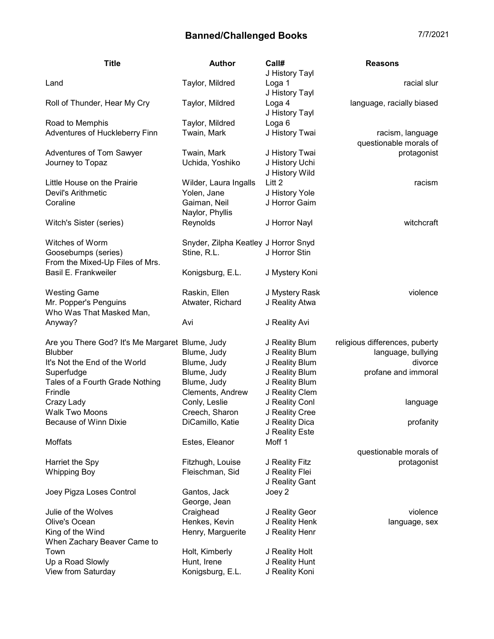| <b>Title</b>                                      | <b>Author</b>                        | Call#                               | <b>Reasons</b>                             |
|---------------------------------------------------|--------------------------------------|-------------------------------------|--------------------------------------------|
| Land                                              | Taylor, Mildred                      | J History Tayl<br>Loga 1            | racial slur                                |
| Roll of Thunder, Hear My Cry                      | Taylor, Mildred                      | J History Tayl<br>Loga 4            | language, racially biased                  |
| Road to Memphis                                   | Taylor, Mildred                      | J History Tayl<br>Loga <sub>6</sub> |                                            |
| Adventures of Huckleberry Finn                    | Twain, Mark                          | J History Twai                      | racism, language<br>questionable morals of |
| Adventures of Tom Sawyer                          | Twain, Mark                          | J History Twai                      | protagonist                                |
| Journey to Topaz                                  | Uchida, Yoshiko                      | J History Uchi                      |                                            |
|                                                   |                                      | J History Wild                      |                                            |
| Little House on the Prairie                       | Wilder, Laura Ingalls                | Litt <sub>2</sub>                   | racism                                     |
| Devil's Arithmetic                                | Yolen, Jane                          | J History Yole                      |                                            |
| Coraline                                          | Gaiman, Neil<br>Naylor, Phyllis      | J Horror Gaim                       |                                            |
| Witch's Sister (series)                           | Reynolds                             | J Horror Nayl                       | witchcraft                                 |
| Witches of Worm                                   | Snyder, Zilpha Keatley J Horror Snyd |                                     |                                            |
| Goosebumps (series)                               | Stine, R.L.                          | J Horror Stin                       |                                            |
| From the Mixed-Up Files of Mrs.                   |                                      |                                     |                                            |
| Basil E. Frankweiler                              | Konigsburg, E.L.                     | J Mystery Koni                      |                                            |
| <b>Westing Game</b>                               | Raskin, Ellen                        | J Mystery Rask                      | violence                                   |
| Mr. Popper's Penguins<br>Who Was That Masked Man, | Atwater, Richard                     | J Reality Atwa                      |                                            |
| Anyway?                                           | Avi                                  | J Reality Avi                       |                                            |
| Are you There God? It's Me Margaret Blume, Judy   |                                      | J Reality Blum                      | religious differences, puberty             |
| <b>Blubber</b>                                    | Blume, Judy                          | J Reality Blum                      | language, bullying                         |
| It's Not the End of the World                     | Blume, Judy                          | J Reality Blum                      | divorce                                    |
| Superfudge                                        | Blume, Judy                          | J Reality Blum                      | profane and immoral                        |
| Tales of a Fourth Grade Nothing                   | Blume, Judy                          | J Reality Blum                      |                                            |
| Frindle                                           | Clements, Andrew                     | J Reality Clem                      |                                            |
| Crazy Lady                                        | Conly, Leslie                        | J Reality Conl                      | language                                   |
| Walk Two Moons                                    | Creech, Sharon                       | J Reality Cree                      |                                            |
| <b>Because of Winn Dixie</b>                      | DiCamillo, Katie                     | J Reality Dica                      | profanity                                  |
|                                                   |                                      | J Reality Este                      |                                            |
| Moffats                                           | Estes, Eleanor                       | Moff 1                              |                                            |
|                                                   |                                      |                                     | questionable morals of                     |
| Harriet the Spy                                   | Fitzhugh, Louise                     | J Reality Fitz                      | protagonist                                |
| <b>Whipping Boy</b>                               | Fleischman, Sid                      | J Reality Flei                      |                                            |
|                                                   |                                      | J Reality Gant                      |                                            |
| Joey Pigza Loses Control                          | Gantos, Jack<br>George, Jean         | Joey 2                              |                                            |
| Julie of the Wolves                               | Craighead                            | J Reality Geor                      | violence                                   |
| Olive's Ocean                                     | Henkes, Kevin                        | J Reality Henk                      | language, sex                              |
| King of the Wind                                  | Henry, Marguerite                    | J Reality Henr                      |                                            |
| When Zachary Beaver Came to                       |                                      |                                     |                                            |
| Town                                              | Holt, Kimberly                       | J Reality Holt                      |                                            |
| Up a Road Slowly                                  | Hunt, Irene                          | J Reality Hunt                      |                                            |
| View from Saturday                                | Konigsburg, E.L.                     | J Reality Koni                      |                                            |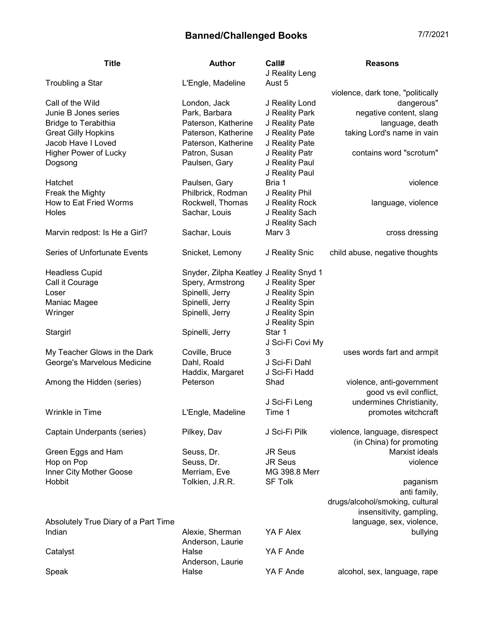| 4<br>/7/202 |
|-------------|
|-------------|

| <b>Title</b>                         | Author                                  | Call#<br>J Reality Leng | <b>Reasons</b>                    |
|--------------------------------------|-----------------------------------------|-------------------------|-----------------------------------|
| Troubling a Star                     | L'Engle, Madeline                       | Aust 5                  |                                   |
|                                      |                                         |                         | violence, dark tone, "politically |
| Call of the Wild                     | London, Jack                            | J Reality Lond          | dangerous"                        |
| Junie B Jones series                 | Park, Barbara                           | J Reality Park          | negative content, slang           |
| <b>Bridge to Terabithia</b>          | Paterson, Katherine                     | J Reality Pate          | language, death                   |
| <b>Great Gilly Hopkins</b>           | Paterson, Katherine                     | J Reality Pate          | taking Lord's name in vain        |
| Jacob Have I Loved                   | Paterson, Katherine                     | J Reality Pate          |                                   |
| Higher Power of Lucky                | Patron, Susan                           | J Reality Patr          | contains word "scrotum"           |
| Dogsong                              | Paulsen, Gary                           | J Reality Paul          |                                   |
|                                      |                                         | J Reality Paul          |                                   |
| Hatchet                              | Paulsen, Gary                           | Bria 1                  | violence                          |
| Freak the Mighty                     | Philbrick, Rodman                       | J Reality Phil          |                                   |
| How to Eat Fried Worms               | Rockwell, Thomas                        | J Reality Rock          | language, violence                |
| Holes                                | Sachar, Louis                           | J Reality Sach          |                                   |
|                                      |                                         | J Reality Sach          |                                   |
| Marvin redpost: Is He a Girl?        | Sachar, Louis                           | Marv 3                  | cross dressing                    |
| Series of Unfortunate Events         | Snicket, Lemony                         | J Reality Snic          | child abuse, negative thoughts    |
| <b>Headless Cupid</b>                | Snyder, Zilpha Keatley J Reality Snyd 1 |                         |                                   |
| Call it Courage                      | Spery, Armstrong                        | J Reality Sper          |                                   |
| Loser                                | Spinelli, Jerry                         | J Reality Spin          |                                   |
| Maniac Magee                         | Spinelli, Jerry                         | J Reality Spin          |                                   |
| Wringer                              | Spinelli, Jerry                         | J Reality Spin          |                                   |
|                                      |                                         | J Reality Spin          |                                   |
| Stargirl                             | Spinelli, Jerry                         | Star 1                  |                                   |
|                                      |                                         | J Sci-Fi Covi My        |                                   |
| My Teacher Glows in the Dark         | Coville, Bruce                          | 3                       | uses words fart and armpit        |
| George's Marvelous Medicine          | Dahl, Roald                             | J Sci-Fi Dahl           |                                   |
|                                      | Haddix, Margaret                        | J Sci-Fi Hadd           |                                   |
| Among the Hidden (series)            | Peterson                                | Shad                    | violence, anti-government         |
|                                      |                                         |                         | good vs evil conflict,            |
|                                      |                                         | J Sci-Fi Leng           | undermines Christianity,          |
| Wrinkle in Time                      | L'Engle, Madeline                       | Time 1                  | promotes witchcraft               |
| Captain Underpants (series)          | Pilkey, Dav                             | J Sci-Fi Pilk           | violence, language, disrespect    |
|                                      |                                         |                         | (in China) for promoting          |
| Green Eggs and Ham                   | Seuss, Dr.                              | <b>JR Seus</b>          | Marxist ideals                    |
| Hop on Pop                           | Seuss, Dr.                              | <b>JR Seus</b>          | violence                          |
| Inner City Mother Goose              | Merriam, Eve                            | MG 398.8 Merr           |                                   |
| Hobbit                               | Tolkien, J.R.R.                         | <b>SF Tolk</b>          | paganism<br>anti family,          |
|                                      |                                         |                         | drugs/alcohol/smoking, cultural   |
|                                      |                                         |                         | insensitivity, gampling,          |
| Absolutely True Diary of a Part Time |                                         |                         | language, sex, violence,          |
| Indian                               | Alexie, Sherman                         | YA F Alex               | bullying                          |
|                                      | Anderson, Laurie                        |                         |                                   |
| Catalyst                             | Halse                                   | YA F Ande               |                                   |
|                                      | Anderson, Laurie                        |                         |                                   |
| Speak                                | Halse                                   | YA F Ande               | alcohol, sex, language, rape      |
|                                      |                                         |                         |                                   |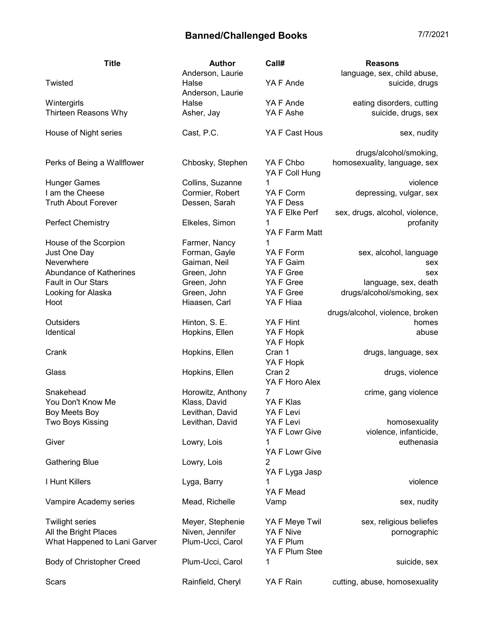| <b>Title</b>                 | <b>Author</b>             | Call#                            | <b>Reasons</b>                  |
|------------------------------|---------------------------|----------------------------------|---------------------------------|
|                              | Anderson, Laurie          |                                  | language, sex, child abuse,     |
| Twisted                      | Halse<br>Anderson, Laurie | YA F Ande                        | suicide, drugs                  |
| Wintergirls                  | Halse                     | YA F Ande                        | eating disorders, cutting       |
| Thirteen Reasons Why         | Asher, Jay                | YA F Ashe                        | suicide, drugs, sex             |
| House of Night series        | Cast, P.C.                | YA F Cast Hous                   | sex, nudity                     |
|                              |                           |                                  | drugs/alcohol/smoking,          |
| Perks of Being a Wallflower  | Chbosky, Stephen          | YA F Chbo<br>YA F Coll Hung      | homosexuality, language, sex    |
| <b>Hunger Games</b>          | Collins, Suzanne          | 1                                | violence                        |
| I am the Cheese              | Cormier, Robert           | YA F Corm                        | depressing, vulgar, sex         |
| <b>Truth About Forever</b>   | Dessen, Sarah             | YA F Dess                        |                                 |
|                              |                           | YA F Elke Perf                   | sex, drugs, alcohol, violence,  |
| <b>Perfect Chemistry</b>     | Elkeles, Simon            | 1<br>YA F Farm Matt              | profanity                       |
| House of the Scorpion        | Farmer, Nancy             | 1                                |                                 |
| Just One Day                 | Forman, Gayle             | YA F Form                        | sex, alcohol, language          |
| Neverwhere                   | Gaiman, Neil              | YA F Gaim                        | sex                             |
| Abundance of Katherines      | Green, John               | YA F Gree                        | sex                             |
| Fault in Our Stars           | Green, John               | YA F Gree                        | language, sex, death            |
| Looking for Alaska           | Green, John               | YA F Gree                        | drugs/alcohol/smoking, sex      |
| Hoot                         | Hiaasen, Carl             | YA F Hiaa                        |                                 |
|                              |                           |                                  | drugs/alcohol, violence, broken |
| <b>Outsiders</b>             | Hinton, S. E.             | YA F Hint                        | homes                           |
| Identical                    | Hopkins, Ellen            | YA F Hopk<br>YA F Hopk           | abuse                           |
| Crank                        | Hopkins, Ellen            | Cran 1<br>YA F Hopk              | drugs, language, sex            |
| Glass                        | Hopkins, Ellen            | Cran 2<br>YA F Horo Alex         | drugs, violence                 |
| Snakehead                    | Horowitz, Anthony         | 7                                | crime, gang violence            |
| You Don't Know Me            | Klass, David              | YA F Klas                        |                                 |
| Boy Meets Boy                | Levithan, David           | YA F Levi                        |                                 |
| Two Boys Kissing             | Levithan, David           | YA F Levi                        | homosexuality                   |
|                              |                           | YA F Lowr Give                   | violence, infanticide,          |
| Giver                        | Lowry, Lois               | 1                                | euthenasia                      |
|                              |                           | YA F Lowr Give                   |                                 |
| <b>Gathering Blue</b>        | Lowry, Lois               | $\overline{2}$<br>YA F Lyga Jasp |                                 |
| I Hunt Killers               | Lyga, Barry               | 1                                | violence                        |
|                              |                           | YA F Mead                        |                                 |
| Vampire Academy series       | Mead, Richelle            | Vamp                             | sex, nudity                     |
| <b>Twilight series</b>       | Meyer, Stephenie          | YA F Meye Twil                   | sex, religious beliefes         |
| All the Bright Places        | Niven, Jennifer           | YA F Nive                        | pornographic                    |
| What Happened to Lani Garver | Plum-Ucci, Carol          | YA F Plum                        |                                 |
|                              |                           | YA F Plum Stee                   |                                 |
| Body of Christopher Creed    | Plum-Ucci, Carol          | 1                                | suicide, sex                    |
| Scars                        | Rainfield, Cheryl         | YA F Rain                        | cutting, abuse, homosexuality   |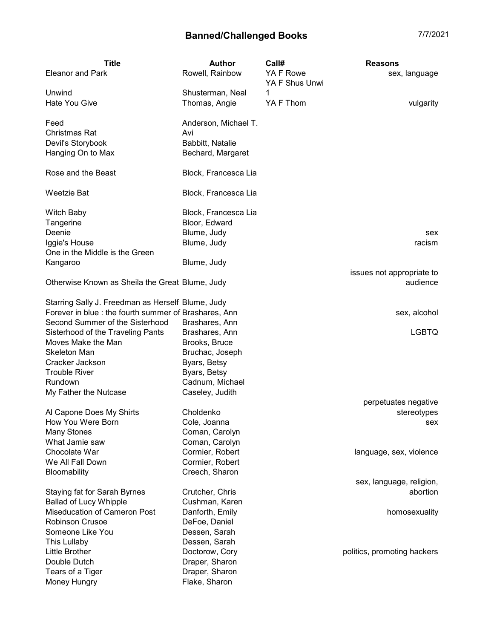| <b>Title</b>                                         | <b>Author</b>        | Call#                       | <b>Reasons</b>                        |
|------------------------------------------------------|----------------------|-----------------------------|---------------------------------------|
| <b>Eleanor and Park</b>                              | Rowell, Rainbow      | YA F Rowe<br>YA F Shus Unwi | sex, language                         |
| Unwind                                               | Shusterman, Neal     | 1                           |                                       |
| <b>Hate You Give</b>                                 | Thomas, Angie        | YA F Thom                   | vulgarity                             |
| Feed                                                 | Anderson, Michael T. |                             |                                       |
| Christmas Rat                                        | Avi                  |                             |                                       |
| Devil's Storybook                                    | Babbitt, Natalie     |                             |                                       |
| Hanging On to Max                                    | Bechard, Margaret    |                             |                                       |
| Rose and the Beast                                   | Block, Francesca Lia |                             |                                       |
| Weetzie Bat                                          | Block, Francesca Lia |                             |                                       |
| <b>Witch Baby</b>                                    | Block, Francesca Lia |                             |                                       |
| Tangerine                                            | Bloor, Edward        |                             |                                       |
| Deenie                                               | Blume, Judy          |                             | sex                                   |
| Iggie's House                                        | Blume, Judy          |                             | racism                                |
| One in the Middle is the Green                       |                      |                             |                                       |
| Kangaroo                                             | Blume, Judy          |                             |                                       |
| Otherwise Known as Sheila the Great Blume, Judy      |                      |                             | issues not appropriate to<br>audience |
| Starring Sally J. Freedman as Herself Blume, Judy    |                      |                             |                                       |
| Forever in blue: the fourth summer of Brashares, Ann |                      |                             | sex, alcohol                          |
| Second Summer of the Sisterhood                      | Brashares, Ann       |                             |                                       |
| Sisterhood of the Traveling Pants                    | Brashares, Ann       |                             | <b>LGBTQ</b>                          |
| Moves Make the Man                                   | Brooks, Bruce        |                             |                                       |
| <b>Skeleton Man</b>                                  | Bruchac, Joseph      |                             |                                       |
| Cracker Jackson                                      | Byars, Betsy         |                             |                                       |
| <b>Trouble River</b>                                 | Byars, Betsy         |                             |                                       |
| Rundown                                              | Cadnum, Michael      |                             |                                       |
| My Father the Nutcase                                | Caseley, Judith      |                             |                                       |
|                                                      |                      |                             | perpetuates negative                  |
| Al Capone Does My Shirts                             | Choldenko            |                             | stereotypes                           |
| How You Were Born                                    | Cole, Joanna         |                             | sex                                   |
| <b>Many Stones</b>                                   | Coman, Carolyn       |                             |                                       |
| What Jamie saw                                       | Coman, Carolyn       |                             |                                       |
| Chocolate War                                        | Cormier, Robert      |                             | language, sex, violence               |
| We All Fall Down                                     | Cormier, Robert      |                             |                                       |
| Bloomability                                         | Creech, Sharon       |                             | sex, language, religion,              |
| Staying fat for Sarah Byrnes                         | Crutcher, Chris      |                             | abortion                              |
| <b>Ballad of Lucy Whipple</b>                        | Cushman, Karen       |                             |                                       |
| Miseducation of Cameron Post                         | Danforth, Emily      |                             | homosexuality                         |
| <b>Robinson Crusoe</b>                               | DeFoe, Daniel        |                             |                                       |
| Someone Like You                                     | Dessen, Sarah        |                             |                                       |
| This Lullaby                                         | Dessen, Sarah        |                             |                                       |
| Little Brother                                       | Doctorow, Cory       |                             | politics, promoting hackers           |
| Double Dutch                                         | Draper, Sharon       |                             |                                       |
|                                                      |                      |                             |                                       |

Tears of a Tiger **Draper**, Sharon Money Hungry **Flake, Sharon**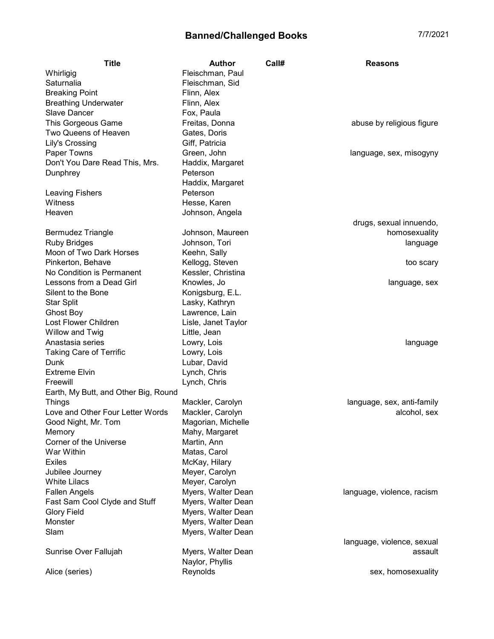| <b>Title</b>                         | <b>Author</b>               | Call# | <b>Reasons</b>             |
|--------------------------------------|-----------------------------|-------|----------------------------|
| Whirligig                            | Fleischman, Paul            |       |                            |
| Saturnalia                           | Fleischman, Sid             |       |                            |
| <b>Breaking Point</b>                | Flinn, Alex                 |       |                            |
| <b>Breathing Underwater</b>          | Flinn, Alex                 |       |                            |
| Slave Dancer                         | Fox, Paula                  |       |                            |
| This Gorgeous Game                   | Freitas, Donna              |       | abuse by religious figure  |
| Two Queens of Heaven                 | Gates, Doris                |       |                            |
| Lily's Crossing                      | Giff, Patricia              |       |                            |
| Paper Towns                          | Green, John                 |       | language, sex, misogyny    |
| Don't You Dare Read This, Mrs.       | Haddix, Margaret            |       |                            |
| Dunphrey                             | Peterson                    |       |                            |
|                                      | Haddix, Margaret            |       |                            |
| <b>Leaving Fishers</b>               | Peterson                    |       |                            |
| Witness                              | Hesse, Karen                |       |                            |
| Heaven                               | Johnson, Angela             |       |                            |
|                                      |                             |       | drugs, sexual innuendo,    |
| <b>Bermudez Triangle</b>             | Johnson, Maureen            |       | homosexuality              |
| <b>Ruby Bridges</b>                  | Johnson, Tori               |       | language                   |
| Moon of Two Dark Horses              | Keehn, Sally                |       |                            |
| Pinkerton, Behave                    | Kellogg, Steven             |       | too scary                  |
| No Condition is Permanent            | Kessler, Christina          |       |                            |
| Lessons from a Dead Girl             | Knowles, Jo                 |       | language, sex              |
| Silent to the Bone                   | Konigsburg, E.L.            |       |                            |
| <b>Star Split</b>                    | Lasky, Kathryn              |       |                            |
| Ghost Boy                            | Lawrence, Lain              |       |                            |
| Lost Flower Children                 | Lisle, Janet Taylor         |       |                            |
| Willow and Twig                      | Little, Jean                |       |                            |
| Anastasia series                     | Lowry, Lois                 |       | language                   |
| <b>Taking Care of Terrific</b>       | Lowry, Lois                 |       |                            |
| Dunk                                 | Lubar, David                |       |                            |
| <b>Extreme Elvin</b>                 | Lynch, Chris                |       |                            |
| Freewill                             | Lynch, Chris                |       |                            |
| Earth, My Butt, and Other Big, Round |                             |       |                            |
| <b>Things</b>                        | Mackler, Carolyn            |       | language, sex, anti-family |
| Love and Other Four Letter Words     | Mackler, Carolyn            |       | alcohol, sex               |
| Good Night, Mr. Tom                  | Magorian, Michelle          |       |                            |
| Memory<br>Corner of the Universe     | Mahy, Margaret              |       |                            |
| War Within                           | Martin, Ann<br>Matas, Carol |       |                            |
| <b>Exiles</b>                        | McKay, Hilary               |       |                            |
| Jubilee Journey                      | Meyer, Carolyn              |       |                            |
| <b>White Lilacs</b>                  | Meyer, Carolyn              |       |                            |
| <b>Fallen Angels</b>                 | Myers, Walter Dean          |       | language, violence, racism |
| Fast Sam Cool Clyde and Stuff        | Myers, Walter Dean          |       |                            |
| <b>Glory Field</b>                   | Myers, Walter Dean          |       |                            |
| Monster                              | Myers, Walter Dean          |       |                            |
| Slam                                 | Myers, Walter Dean          |       |                            |
|                                      |                             |       | language, violence, sexual |
| Sunrise Over Fallujah                | Myers, Walter Dean          |       | assault                    |
|                                      | Naylor, Phyllis             |       |                            |
| Alice (series)                       | Reynolds                    |       | sex, homosexuality         |
|                                      |                             |       |                            |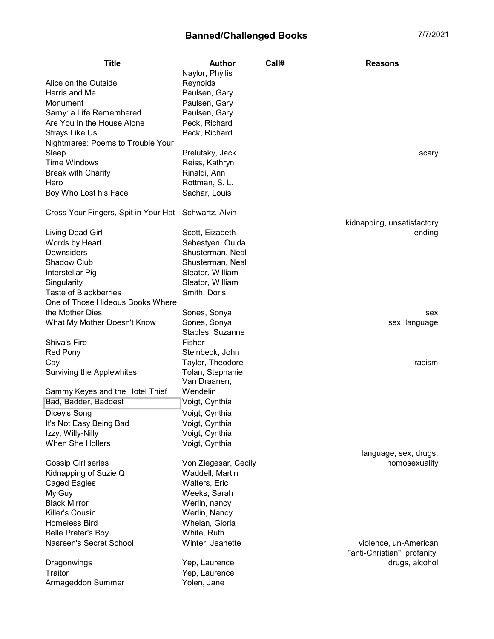Title **Author** Call# Reasons

| Alice on the Outside<br>Harris and Me                | Naylor, Phyllis<br>Reynolds<br>Paulsen, Gary |                              |
|------------------------------------------------------|----------------------------------------------|------------------------------|
| Monument                                             | Paulsen, Gary                                |                              |
| Sarny: a Life Remembered                             | Paulsen, Gary                                |                              |
| Are You In the House Alone                           | Peck, Richard                                |                              |
| Strays Like Us                                       | Peck, Richard                                |                              |
| Nightmares: Poems to Trouble Your                    |                                              |                              |
| Sleep                                                | Prelutsky, Jack                              | scary                        |
| <b>Time Windows</b>                                  | Reiss, Kathryn                               |                              |
| <b>Break with Charity</b>                            | Rinaldi, Ann                                 |                              |
| Hero                                                 | Rottman, S. L.                               |                              |
| Boy Who Lost his Face                                | Sachar, Louis                                |                              |
| Cross Your Fingers, Spit in Your Hat Schwartz, Alvin |                                              |                              |
|                                                      |                                              | kidnapping, unsatisfactory   |
| Living Dead Girl                                     | Scott, Eizabeth                              | ending                       |
| Words by Heart                                       | Sebestyen, Ouida                             |                              |
| Downsiders                                           | Shusterman, Neal                             |                              |
| <b>Shadow Club</b>                                   | Shusterman, Neal                             |                              |
| Interstellar Pig                                     | Sleator, William                             |                              |
| Singularity                                          | Sleator, William                             |                              |
| <b>Taste of Blackberries</b>                         | Smith, Doris                                 |                              |
| One of Those Hideous Books Where                     |                                              |                              |
| the Mother Dies                                      | Sones, Sonya                                 | sex                          |
| What My Mother Doesn't Know                          | Sones, Sonya                                 | sex, language                |
|                                                      | Staples, Suzanne                             |                              |
| Shiva's Fire                                         | Fisher                                       |                              |
| <b>Red Pony</b>                                      | Steinbeck, John                              |                              |
| Cay                                                  | Taylor, Theodore                             | racism                       |
| Surviving the Applewhites                            | Tolan, Stephanie<br>Van Draanen,             |                              |
| Sammy Keyes and the Hotel Thief                      | Wendelin                                     |                              |
| Bad, Badder, Baddest                                 | Voigt, Cynthia                               |                              |
| Dicey's Song                                         | Voigt, Cynthia                               |                              |
| It's Not Easy Being Bad                              | Voigt, Cynthia                               |                              |
| Izzy, Willy-Nilly                                    | Voigt, Cynthia                               |                              |
| When She Hollers                                     | Voigt, Cynthia                               |                              |
|                                                      |                                              | language, sex, drugs,        |
| Gossip Girl series                                   | Von Ziegesar, Cecily                         | homosexuality                |
| Kidnapping of Suzie Q                                | Waddell, Martin                              |                              |
| Caged Eagles                                         | Walters, Eric                                |                              |
| My Guy                                               | Weeks, Sarah                                 |                              |
| <b>Black Mirror</b>                                  | Werlin, nancy                                |                              |
| Killer's Cousin                                      | Werlin, Nancy                                |                              |
| <b>Homeless Bird</b>                                 | Whelan, Gloria                               |                              |
| <b>Belle Prater's Boy</b>                            | White, Ruth                                  |                              |
| Nasreen's Secret School                              | Winter, Jeanette                             | violence, un-American        |
|                                                      |                                              | "anti-Christian", profanity, |
| Dragonwings                                          | Yep, Laurence                                | drugs, alcohol               |
| Traitor                                              | Yep, Laurence                                |                              |
| Armageddon Summer                                    | Yolen, Jane                                  |                              |